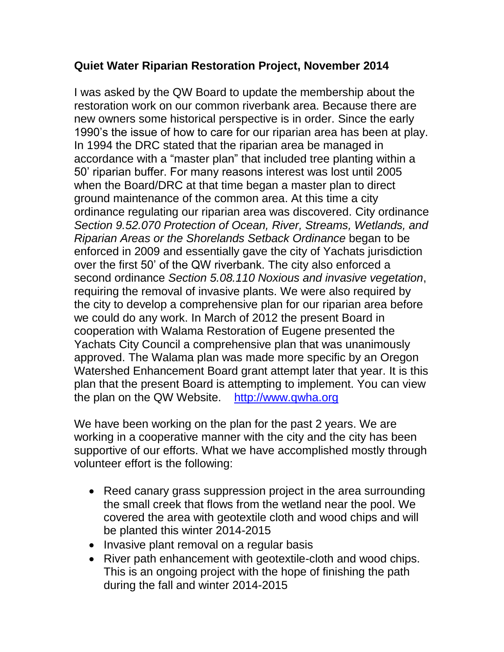## **Quiet Water Riparian Restoration Project, November 2014**

I was asked by the QW Board to update the membership about the restoration work on our common riverbank area. Because there are new owners some historical perspective is in order. Since the early 1990's the issue of how to care for our riparian area has been at play. In 1994 the DRC stated that the riparian area be managed in accordance with a "master plan" that included tree planting within a 50' riparian buffer. For many reasons interest was lost until 2005 when the Board/DRC at that time began a master plan to direct ground maintenance of the common area. At this time a city ordinance regulating our riparian area was discovered. City ordinance *Section 9.52.070 Protection of Ocean, River, Streams, Wetlands, and Riparian Areas or the Shorelands Setback Ordinance* began to be enforced in 2009 and essentially gave the city of Yachats jurisdiction over the first 50' of the QW riverbank. The city also enforced a second ordinance *Section 5.08.110 Noxious and invasive vegetation*, requiring the removal of invasive plants. We were also required by the city to develop a comprehensive plan for our riparian area before we could do any work. In March of 2012 the present Board in cooperation with Walama Restoration of Eugene presented the Yachats City Council a comprehensive plan that was unanimously approved. The Walama plan was made more specific by an Oregon Watershed Enhancement Board grant attempt later that year. It is this plan that the present Board is attempting to implement. You can view the plan on the QW Website. [http://www.qwha.org](http://www.qwha.org/)

We have been working on the plan for the past 2 years. We are working in a cooperative manner with the city and the city has been supportive of our efforts. What we have accomplished mostly through volunteer effort is the following:

- Reed canary grass suppression project in the area surrounding the small creek that flows from the wetland near the pool. We covered the area with geotextile cloth and wood chips and will be planted this winter 2014-2015
- Invasive plant removal on a regular basis
- River path enhancement with geotextile-cloth and wood chips. This is an ongoing project with the hope of finishing the path during the fall and winter 2014-2015